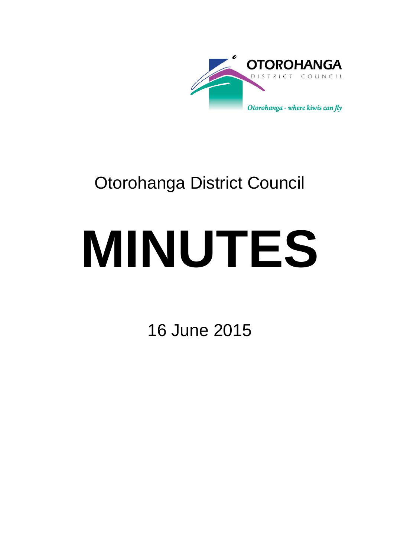

## Otorohanga District Council

# **MINUTES**

16 June 2015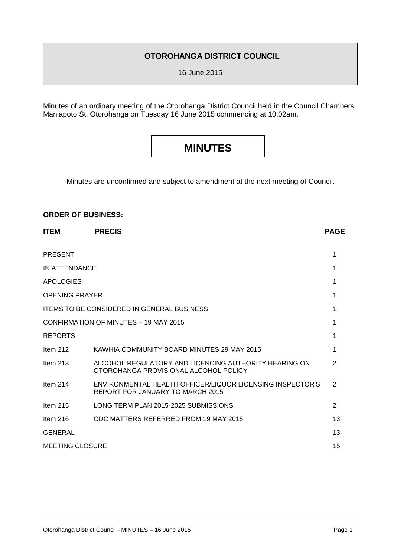#### **OTOROHANGA DISTRICT COUNCIL**

16 June 2015

Minutes of an ordinary meeting of the Otorohanga District Council held in the Council Chambers, Maniapoto St, Otorohanga on Tuesday 16 June 2015 commencing at 10.02am.

### **MINUTES**

Minutes are unconfirmed and subject to amendment at the next meeting of Council.

#### **ORDER OF BUSINESS:**

| <b>ITEM</b>                                       | <b>PRECIS</b>                                                                                  | <b>PAGE</b>    |
|---------------------------------------------------|------------------------------------------------------------------------------------------------|----------------|
| <b>PRESENT</b>                                    |                                                                                                | 1              |
| IN ATTENDANCE                                     |                                                                                                | 1              |
| <b>APOLOGIES</b>                                  |                                                                                                | 1              |
| <b>OPENING PRAYER</b>                             |                                                                                                | 1              |
| <b>ITEMS TO BE CONSIDERED IN GENERAL BUSINESS</b> |                                                                                                | 1              |
| CONFIRMATION OF MINUTES - 19 MAY 2015             |                                                                                                | 1              |
| <b>REPORTS</b>                                    |                                                                                                | 1              |
| Item $212$                                        | KAWHIA COMMUNITY BOARD MINUTES 29 MAY 2015                                                     | 1              |
| Item $213$                                        | ALCOHOL REGULATORY AND LICENCING AUTHORITY HEARING ON<br>OTOROHANGA PROVISIONAL ALCOHOL POLICY | $\overline{2}$ |
| Item $214$                                        | ENVIRONMENTAL HEALTH OFFICER/LIQUOR LICENSING INSPECTOR'S<br>REPORT FOR JANUARY TO MARCH 2015  | 2              |
| Item $215$                                        | LONG TERM PLAN 2015-2025 SUBMISSIONS                                                           | 2              |
| Item $216$                                        | ODC MATTERS REFERRED FROM 19 MAY 2015                                                          | 13             |
| <b>GENERAL</b>                                    |                                                                                                | 13             |
| <b>MEETING CLOSURE</b>                            |                                                                                                | 15             |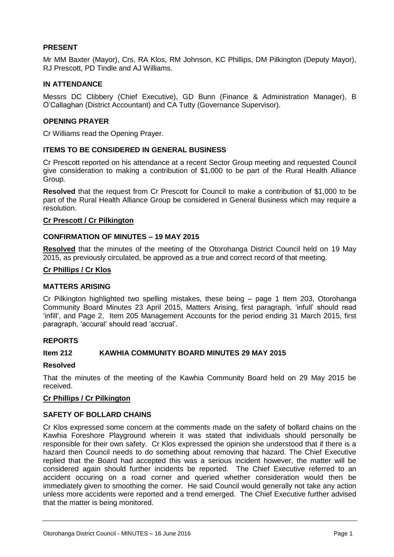#### **PRESENT**

Mr MM Baxter (Mayor), Crs, RA Klos, RM Johnson, KC Phillips, DM Pilkington (Deputy Mayor), RJ Prescott, PD Tindle and AJ Williams.

#### **IN ATTENDANCE**

Messrs DC Clibbery (Chief Executive), GD Bunn (Finance & Administration Manager), B O'Callaghan (District Accountant) and CA Tutty (Governance Supervisor).

#### **OPENING PRAYER**

Cr Williams read the Opening Prayer.

#### **ITEMS TO BE CONSIDERED IN GENERAL BUSINESS**

Cr Prescott reported on his attendance at a recent Sector Group meeting and requested Council give consideration to making a contribution of \$1,000 to be part of the Rural Health Alliance Group.

**Resolved** that the request from Cr Prescott for Council to make a contribution of \$1,000 to be part of the Rural Health Alliance Group be considered in General Business which may require a resolution.

#### **Cr Prescott / Cr Pilkington**

#### **CONFIRMATION OF MINUTES – 19 MAY 2015**

**Resolved** that the minutes of the meeting of the Otorohanga District Council held on 19 May 2015, as previously circulated, be approved as a true and correct record of that meeting.

#### **Cr Phillips / Cr Klos**

#### **MATTERS ARISING**

Cr Pilkington highlighted two spelling mistakes, these being – page 1 Item 203, Otorohanga Community Board Minutes 23 April 2015, Matters Arising, first paragraph, 'infull' should read 'infill', and Page 2, Item 205 Management Accounts for the period ending 31 March 2015, first paragraph, 'accural' should read 'accrual'.

#### **REPORTS**

#### **Item 212 KAWHIA COMMUNITY BOARD MINUTES 29 MAY 2015**

#### **Resolved**

That the minutes of the meeting of the Kawhia Community Board held on 29 May 2015 be received.

#### **Cr Phillips / Cr Pilkington**

#### **SAFETY OF BOLLARD CHAINS**

Cr Klos expressed some concern at the comments made on the safety of bollard chains on the Kawhia Foreshore Playground wherein it was stated that individuals should personally be responsible for their own safety. Cr Klos expressed the opinion she understood that if there is a hazard then Council needs to do something about removing that hazard. The Chief Executive replied that the Board had accepted this was a serious incident however, the matter will be considered again should further incidents be reported. The Chief Executive referred to an accident occuring on a road corner and queried whether consideration would then be immediately given to smoothing the corner. He said Council would generally not take any action unless more accidents were reported and a trend emerged. The Chief Executive further advised that the matter is being monitored.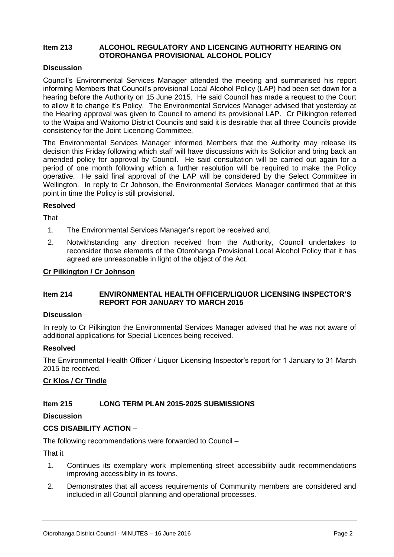#### **Item 213 ALCOHOL REGULATORY AND LICENCING AUTHORITY HEARING ON OTOROHANGA PROVISIONAL ALCOHOL POLICY**

#### **Discussion**

Council's Environmental Services Manager attended the meeting and summarised his report informing Members that Council's provisional Local Alcohol Policy (LAP) had been set down for a hearing before the Authority on 15 June 2015. He said Council has made a request to the Court to allow it to change it's Policy. The Environmental Services Manager advised that yesterday at the Hearing approval was given to Council to amend its provisional LAP. Cr Pilkington referred to the Waipa and Waitomo District Councils and said it is desirable that all three Councils provide consistency for the Joint Licencing Committee.

The Environmental Services Manager informed Members that the Authority may release its decision this Friday following which staff will have discussions with its Solicitor and bring back an amended policy for approval by Council. He said consultation will be carried out again for a period of one month following which a further resolution will be required to make the Policy operative. He said final approval of the LAP will be considered by the Select Committee in Wellington. In reply to Cr Johnson, the Environmental Services Manager confirmed that at this point in time the Policy is still provisional.

#### **Resolved**

**That** 

- 1. The Environmental Services Manager's report be received and,
- 2. Notwithstanding any direction received from the Authority, Council undertakes to reconsider those elements of the Otorohanga Provisional Local Alcohol Policy that it has agreed are unreasonable in light of the object of the Act.

#### **Cr Pilkington / Cr Johnson**

#### **Item 214 ENVIRONMENTAL HEALTH OFFICER/LIQUOR LICENSING INSPECTOR'S REPORT FOR JANUARY TO MARCH 2015**

#### **Discussion**

In reply to Cr Pilkington the Environmental Services Manager advised that he was not aware of additional applications for Special Licences being received.

#### **Resolved**

The Environmental Health Officer / Liquor Licensing Inspector's report for 1 January to 31 March 2015 be received.

#### **Cr Klos / Cr Tindle**

#### **Item 215 LONG TERM PLAN 2015-2025 SUBMISSIONS**

**Discussion**

#### **CCS DISABILITY ACTION** –

The following recommendations were forwarded to Council –

That it

- 1. Continues its exemplary work implementing street accessibility audit recommendations improving accessiblity in its towns.
- 2. Demonstrates that all access requirements of Community members are considered and included in all Council planning and operational processes.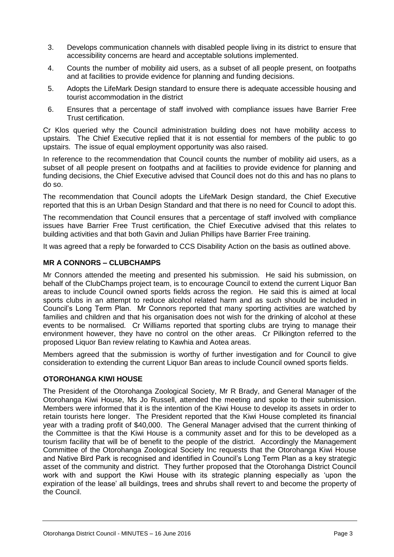- 3. Develops communication channels with disabled people living in its district to ensure that accessibility concerns are heard and acceptable solutions implemented.
- 4. Counts the number of mobility aid users, as a subset of all people present, on footpaths and at facilities to provide evidence for planning and funding decisions.
- 5. Adopts the LifeMark Design standard to ensure there is adequate accessible housing and tourist accommodation in the district
- 6. Ensures that a percentage of staff involved with compliance issues have Barrier Free Trust certification.

Cr Klos queried why the Council administration building does not have mobility access to upstairs. The Chief Executive replied that it is not essential for members of the public to go upstairs. The issue of equal employment opportunity was also raised.

In reference to the recommendation that Council counts the number of mobility aid users, as a subset of all people present on footpaths and at facilities to provide evidence for planning and funding decisions, the Chief Executive advised that Council does not do this and has no plans to do so.

The recommendation that Council adopts the LifeMark Design standard, the Chief Executive reported that this is an Urban Design Standard and that there is no need for Council to adopt this.

The recommendation that Council ensures that a percentage of staff involved with compliance issues have Barrier Free Trust certification, the Chief Executive advised that this relates to building activities and that both Gavin and Julian Phillips have Barrier Free training.

It was agreed that a reply be forwarded to CCS Disability Action on the basis as outlined above.

#### **MR A CONNORS – CLUBCHAMPS**

Mr Connors attended the meeting and presented his submission. He said his submission, on behalf of the ClubChamps project team, is to encourage Council to extend the current Liquor Ban areas to include Council owned sports fields across the region. He said this is aimed at local sports clubs in an attempt to reduce alcohol related harm and as such should be included in Council's Long Term Plan. Mr Connors reported that many sporting activities are watched by families and children and that his organisation does not wish for the drinking of alcohol at these events to be normalised. Cr Williams reported that sporting clubs are trying to manage their environment however, they have no control on the other areas. Cr Pilkington referred to the proposed Liquor Ban review relating to Kawhia and Aotea areas.

Members agreed that the submission is worthy of further investigation and for Council to give consideration to extending the current Liquor Ban areas to include Council owned sports fields.

#### **OTOROHANGA KIWI HOUSE**

The President of the Otorohanga Zoological Society, Mr R Brady, and General Manager of the Otorohanga Kiwi House, Ms Jo Russell, attended the meeting and spoke to their submission. Members were informed that it is the intention of the Kiwi House to develop its assets in order to retain tourists here longer. The President reported that the Kiwi House completed its financial year with a trading profit of \$40,000. The General Manager advised that the current thinking of the Committee is that the Kiwi House is a community asset and for this to be developed as a tourism facility that will be of benefit to the people of the district. Accordingly the Management Committee of the Otorohanga Zoological Society Inc requests that the Otorohanga Kiwi House and Native Bird Park is recognised and identified in Council's Long Term Plan as a key strategic asset of the community and district. They further proposed that the Otorohanga District Council work with and support the Kiwi House with its strategic planning especially as 'upon the expiration of the lease' all buildings, trees and shrubs shall revert to and become the property of the Council.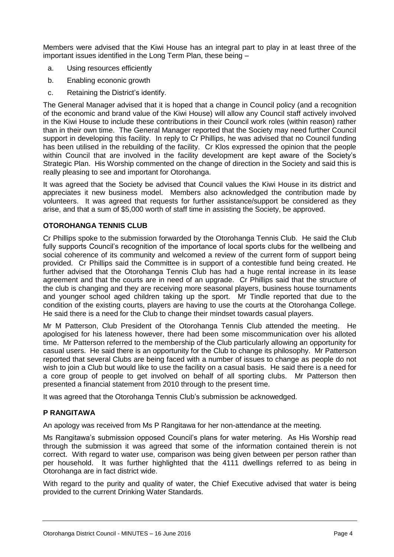Members were advised that the Kiwi House has an integral part to play in at least three of the important issues identified in the Long Term Plan, these being –

- a. Using resources efficiently
- b. Enabling econonic growth
- c. Retaining the District's identify.

The General Manager advised that it is hoped that a change in Council policy (and a recognition of the economic and brand value of the Kiwi House) will allow any Council staff actively involved in the Kiwi House to include these contributions in their Council work roles (within reason) rather than in their own time. The General Manager reported that the Society may need further Council support in developing this facility. In reply to Cr Phillips, he was advised that no Council funding has been utilised in the rebuilding of the facility. Cr Klos expressed the opinion that the people within Council that are involved in the facility development are kept aware of the Society's Strategic Plan. His Worship commented on the change of direction in the Society and said this is really pleasing to see and important for Otorohanga.

It was agreed that the Society be advised that Council values the Kiwi House in its district and appreciates it new business model. Members also acknowledged the contribution made by volunteers. It was agreed that requests for further assistance/support be considered as they arise, and that a sum of \$5,000 worth of staff time in assisting the Society, be approved.

#### **OTOROHANGA TENNIS CLUB**

Cr Phillips spoke to the submission forwarded by the Otorohanga Tennis Club. He said the Club fully supports Council's recognition of the importance of local sports clubs for the wellbeing and social coherence of its community and welcomed a review of the current form of support being provided. Cr Phillips said the Committee is in support of a contestible fund being created. He further advised that the Otorohanga Tennis Club has had a huge rental increase in its lease agreement and that the courts are in need of an upgrade. Cr Phillips said that the structure of the club is changing and they are receiving more seasonal players, business house tournaments and younger school aged children taking up the sport. Mr Tindle reported that due to the condition of the existing courts, players are having to use the courts at the Otorohanga College. He said there is a need for the Club to change their mindset towards casual players.

Mr M Patterson, Club President of the Otorohanga Tennis Club attended the meeting. He apologised for his lateness however, there had been some miscommunication over his alloted time. Mr Patterson referred to the membership of the Club particularly allowing an opportunity for casual users. He said there is an opportunity for the Club to change its philosophy. Mr Patterson reported that several Clubs are being faced with a number of issues to change as people do not wish to join a Club but would like to use the facility on a casual basis. He said there is a need for a core group of people to get involved on behalf of all sporting clubs. Mr Patterson then presented a financial statement from 2010 through to the present time.

It was agreed that the Otorohanga Tennis Club's submission be acknowedged.

#### **P RANGITAWA**

An apology was received from Ms P Rangitawa for her non-attendance at the meeting.

Ms Rangitawa's submission opposed Council's plans for water metering. As His Worship read through the submission it was agreed that some of the information contained therein is not correct. With regard to water use, comparison was being given between per person rather than per household. It was further highlighted that the 4111 dwellings referred to as being in Otorohanga are in fact district wide.

With regard to the purity and quality of water, the Chief Executive advised that water is being provided to the current Drinking Water Standards.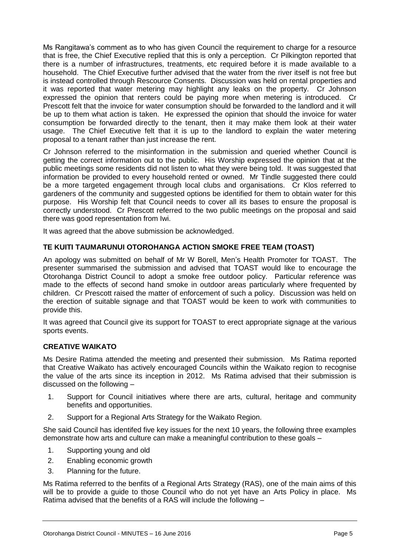Ms Rangitawa's comment as to who has given Council the requirement to charge for a resource that is free, the Chief Executive replied that this is only a perception. Cr Pilkington reported that there is a number of infrastructures, treatments, etc required before it is made available to a household. The Chief Executive further advised that the water from the river itself is not free but is instead controlled through Rescource Consents. Discussion was held on rental properties and it was reported that water metering may highlight any leaks on the property. Cr Johnson expressed the opinion that renters could be paying more when metering is introduced. Cr Prescott felt that the invoice for water consumption should be forwarded to the landlord and it will be up to them what action is taken. He expressed the opinion that should the invoice for water consumption be forwarded directly to the tenant, then it may make them look at their water usage. The Chief Executive felt that it is up to the landlord to explain the water metering proposal to a tenant rather than just increase the rent.

Cr Johnson referred to the misinformation in the submission and queried whether Council is getting the correct information out to the public. His Worship expressed the opinion that at the public meetings some residents did not listen to what they were being told. It was suggested that information be provided to every household rented or owned. Mr Tindle suggested there could be a more targeted engagement through local clubs and organisations. Cr Klos referred to gardeners of the community and suggested options be identified for them to obtain water for this purpose. His Worship felt that Council needs to cover all its bases to ensure the proposal is correctly understood. Cr Prescott referred to the two public meetings on the proposal and said there was good representation from Iwi.

It was agreed that the above submission be acknowledged.

#### **TE KUITI TAUMARUNUI OTOROHANGA ACTION SMOKE FREE TEAM (TOAST)**

An apology was submitted on behalf of Mr W Borell, Men's Health Promoter for TOAST. The presenter summarised the submission and advised that TOAST would like to encourage the Otorohanga District Council to adopt a smoke free outdoor policy. Particular reference was made to the effects of second hand smoke in outdoor areas particularly where frequented by children. Cr Prescott raised the matter of enforcement of such a policy. Discussion was held on the erection of suitable signage and that TOAST would be keen to work with communities to provide this.

It was agreed that Council give its support for TOAST to erect appropriate signage at the various sports events.

#### **CREATIVE WAIKATO**

Ms Desire Ratima attended the meeting and presented their submission. Ms Ratima reported that Creative Waikato has actively encouraged Councils within the Waikato region to recognise the value of the arts since its inception in 2012. Ms Ratima advised that their submission is discussed on the following –

- 1. Support for Council initiatives where there are arts, cultural, heritage and community benefits and opportunities.
- 2. Support for a Regional Arts Strategy for the Waikato Region.

She said Council has identifed five key issues for the next 10 years, the following three examples demonstrate how arts and culture can make a meaningful contribution to these goals –

- 1. Supporting young and old
- 2. Enabling economic growth
- 3. Planning for the future.

Ms Ratima referred to the benfits of a Regional Arts Strategy (RAS), one of the main aims of this will be to provide a guide to those Council who do not yet have an Arts Policy in place. Ms Ratima advised that the benefits of a RAS will include the following –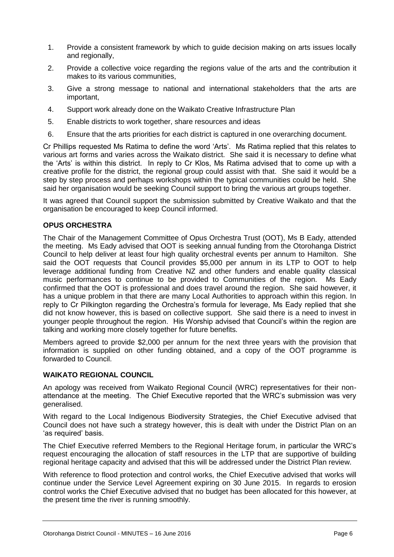- 1. Provide a consistent framework by which to guide decision making on arts issues locally and regionally,
- 2. Provide a collective voice regarding the regions value of the arts and the contribution it makes to its various communities,
- 3. Give a strong message to national and international stakeholders that the arts are important,
- 4. Support work already done on the Waikato Creative Infrastructure Plan
- 5. Enable districts to work together, share resources and ideas
- 6. Ensure that the arts priorities for each district is captured in one overarching document.

Cr Phillips requested Ms Ratima to define the word 'Arts'. Ms Ratima replied that this relates to various art forms and varies across the Waikato district. She said it is necessary to define what the 'Arts' is within this district. In reply to Cr Klos, Ms Ratima advised that to come up with a creative profile for the district, the regional group could assist with that. She said it would be a step by step process and perhaps workshops within the typical communities could be held. She said her organisation would be seeking Council support to bring the various art groups together.

It was agreed that Council support the submission submitted by Creative Waikato and that the organisation be encouraged to keep Council informed.

#### **OPUS ORCHESTRA**

The Chair of the Management Committee of Opus Orchestra Trust (OOT), Ms B Eady, attended the meeting. Ms Eady advised that OOT is seeking annual funding from the Otorohanga District Council to help deliver at least four high quality orchestral events per annum to Hamilton. She said the OOT requests that Council provides \$5,000 per annum in its LTP to OOT to help leverage additional funding from Creative NZ and other funders and enable quality classical music performances to continue to be provided to Communities of the region. Ms Eady confirmed that the OOT is professional and does travel around the region. She said however, it has a unique problem in that there are many Local Authorities to approach within this region. In reply to Cr Pilkington regarding the Orchestra's formula for leverage, Ms Eady replied that she did not know however, this is based on collective support. She said there is a need to invest in younger people throughout the region. His Worship advised that Council's within the region are talking and working more closely together for future benefits.

Members agreed to provide \$2,000 per annum for the next three years with the provision that information is supplied on other funding obtained, and a copy of the OOT programme is forwarded to Council.

#### **WAIKATO REGIONAL COUNCIL**

An apology was received from Waikato Regional Council (WRC) representatives for their nonattendance at the meeting. The Chief Executive reported that the WRC's submission was very generalised.

With regard to the Local Indigenous Biodiversity Strategies, the Chief Executive advised that Council does not have such a strategy however, this is dealt with under the District Plan on an 'as required' basis.

The Chief Executive referred Members to the Regional Heritage forum, in particular the WRC's request encouraging the allocation of staff resources in the LTP that are supportive of building regional heritage capacity and advised that this will be addressed under the District Plan review.

With reference to flood protection and control works, the Chief Executive advised that works will continue under the Service Level Agreement expiring on 30 June 2015. In regards to erosion control works the Chief Executive advised that no budget has been allocated for this however, at the present time the river is running smoothly.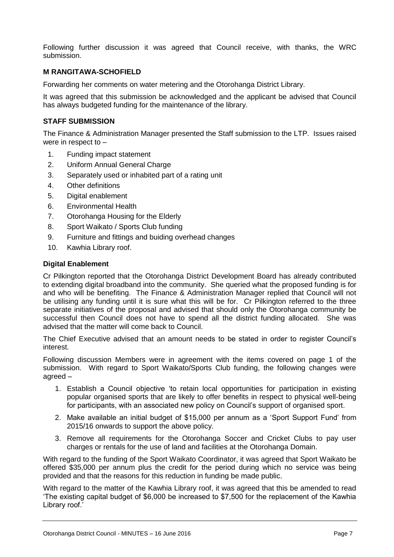Following further discussion it was agreed that Council receive, with thanks, the WRC submission.

#### **M RANGITAWA-SCHOFIELD**

Forwarding her comments on water metering and the Otorohanga District Library.

It was agreed that this submission be acknowledged and the applicant be advised that Council has always budgeted funding for the maintenance of the library.

#### **STAFF SUBMISSION**

The Finance & Administration Manager presented the Staff submission to the LTP. Issues raised were in respect to –

- 1. Funding impact statement
- 2. Uniform Annual General Charge
- 3. Separately used or inhabited part of a rating unit
- 4. Other definitions
- 5. Digital enablement
- 6. Environmental Health
- 7. Otorohanga Housing for the Elderly
- 8. Sport Waikato / Sports Club funding
- 9. Furniture and fittings and buiding overhead changes
- 10. Kawhia Library roof.

#### **Digital Enablement**

Cr Pilkington reported that the Otorohanga District Development Board has already contributed to extending digital broadband into the community. She queried what the proposed funding is for and who will be benefiting. The Finance & Administration Manager replied that Council will not be utilising any funding until it is sure what this will be for. Cr Pilkington referred to the three separate initiatives of the proposal and advised that should only the Otorohanga community be successful then Council does not have to spend all the district funding allocated. She was advised that the matter will come back to Council.

The Chief Executive advised that an amount needs to be stated in order to register Council's interest.

Following discussion Members were in agreement with the items covered on page 1 of the submission. With regard to Sport Waikato/Sports Club funding, the following changes were agreed –

- 1. Establish a Council objective 'to retain local opportunities for participation in existing popular organised sports that are likely to offer benefits in respect to physical well-being for participants, with an associated new policy on Council's support of organised sport.
- 2. Make available an initial budget of \$15,000 per annum as a 'Sport Support Fund' from 2015/16 onwards to support the above policy.
- 3. Remove all requirements for the Otorohanga Soccer and Cricket Clubs to pay user charges or rentals for the use of land and facilities at the Otorohanga Domain.

With regard to the funding of the Sport Waikato Coordinator, it was agreed that Sport Waikato be offered \$35,000 per annum plus the credit for the period during which no service was being provided and that the reasons for this reduction in funding be made public.

With regard to the matter of the Kawhia Library roof, it was agreed that this be amended to read 'The existing capital budget of \$6,000 be increased to \$7,500 for the replacement of the Kawhia Library roof.'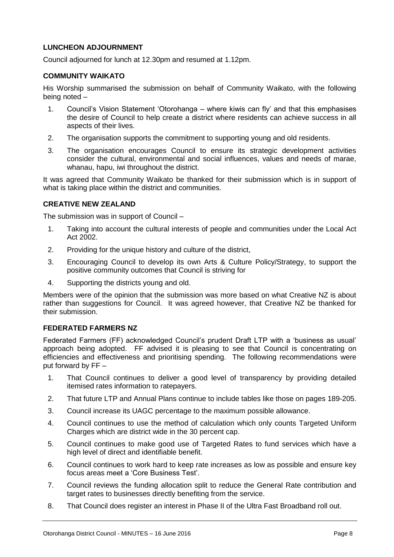#### **LUNCHEON ADJOURNMENT**

Council adjourned for lunch at 12.30pm and resumed at 1.12pm.

#### **COMMUNITY WAIKATO**

His Worship summarised the submission on behalf of Community Waikato, with the following being noted –

- 1. Council's Vision Statement 'Otorohanga where kiwis can fly' and that this emphasises the desire of Council to help create a district where residents can achieve success in all aspects of their lives.
- 2. The organisation supports the commitment to supporting young and old residents.
- 3. The organisation encourages Council to ensure its strategic development activities consider the cultural, environmental and social influences, values and needs of marae, whanau, hapu, iwi throughout the district.

It was agreed that Community Waikato be thanked for their submission which is in support of what is taking place within the district and communities.

#### **CREATIVE NEW ZEALAND**

The submission was in support of Council –

- 1. Taking into account the cultural interests of people and communities under the Local Act Act 2002.
- 2. Providing for the unique history and culture of the district,
- 3. Encouraging Council to develop its own Arts & Culture Policy/Strategy, to support the positive community outcomes that Council is striving for
- 4. Supporting the districts young and old.

Members were of the opinion that the submission was more based on what Creative NZ is about rather than suggestions for Council. It was agreed however, that Creative NZ be thanked for their submission.

#### **FEDERATED FARMERS NZ**

Federated Farmers (FF) acknowledged Council's prudent Draft LTP with a 'business as usual' approach being adopted. FF advised it is pleasing to see that Council is concentrating on efficiencies and effectiveness and prioritising spending. The following recommendations were put forward by FF –

- 1. That Council continues to deliver a good level of transparency by providing detailed itemised rates information to ratepayers.
- 2. That future LTP and Annual Plans continue to include tables like those on pages 189-205.
- 3. Council increase its UAGC percentage to the maximum possible allowance.
- 4. Council continues to use the method of calculation which only counts Targeted Uniform Charges which are district wide in the 30 percent cap.
- 5. Council continues to make good use of Targeted Rates to fund services which have a high level of direct and identifiable benefit.
- 6. Council continues to work hard to keep rate increases as low as possible and ensure key focus areas meet a 'Core Business Test'.
- 7. Council reviews the funding allocation split to reduce the General Rate contribution and target rates to businesses directly benefiting from the service.
- 8. That Council does register an interest in Phase II of the Ultra Fast Broadband roll out.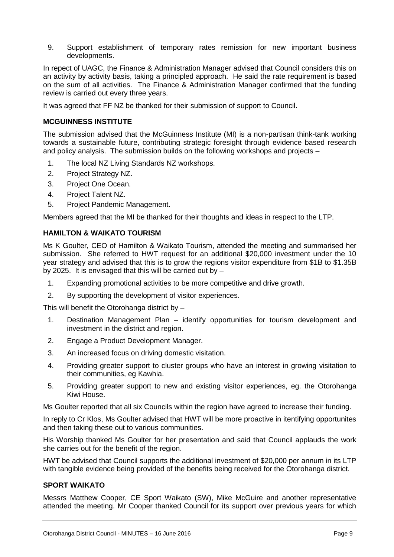9. Support establishment of temporary rates remission for new important business developments.

In repect of UAGC, the Finance & Administration Manager advised that Council considers this on an activity by activity basis, taking a principled approach. He said the rate requirement is based on the sum of all activities. The Finance & Administration Manager confirmed that the funding review is carried out every three years.

It was agreed that FF NZ be thanked for their submission of support to Council.

#### **MCGUINNESS INSTITUTE**

The submission advised that the McGuinness Institute (MI) is a non-partisan think-tank working towards a sustainable future, contributing strategic foresight through evidence based research and policy analysis. The submission builds on the following workshops and projects –

- 1. The local NZ Living Standards NZ workshops.
- 2. Project Strategy NZ.
- 3. Project One Ocean.
- 4. Project Talent NZ.
- 5. Project Pandemic Management.

Members agreed that the MI be thanked for their thoughts and ideas in respect to the LTP.

#### **HAMILTON & WAIKATO TOURISM**

Ms K Goulter, CEO of Hamilton & Waikato Tourism, attended the meeting and summarised her submission. She referred to HWT request for an additional \$20,000 investment under the 10 year strategy and advised that this is to grow the regions visitor expenditure from \$1B to \$1.35B by 2025. It is envisaged that this will be carried out by –

- 1. Expanding promotional activities to be more competitive and drive growth.
- 2. By supporting the development of visitor experiences.

This will benefit the Otorohanga district by –

- 1. Destination Management Plan identify opportunities for tourism development and investment in the district and region.
- 2. Engage a Product Development Manager.
- 3. An increased focus on driving domestic visitation.
- 4. Providing greater support to cluster groups who have an interest in growing visitation to their communities, eg Kawhia.
- 5. Providing greater support to new and existing visitor experiences, eg. the Otorohanga Kiwi House.

Ms Goulter reported that all six Councils within the region have agreed to increase their funding.

In reply to Cr Klos, Ms Goulter advised that HWT will be more proactive in itentifying opportunites and then taking these out to various communities.

His Worship thanked Ms Goulter for her presentation and said that Council applauds the work she carries out for the benefit of the region.

HWT be advised that Council supports the additional investment of \$20,000 per annum in its LTP with tangible evidence being provided of the benefits being received for the Otorohanga district.

#### **SPORT WAIKATO**

Messrs Matthew Cooper, CE Sport Waikato (SW), Mike McGuire and another representative attended the meeting. Mr Cooper thanked Council for its support over previous years for which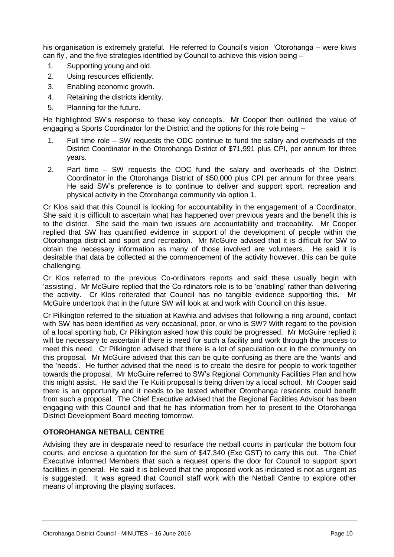his organisation is extremely grateful. He referred to Council's vision 'Otorohanga – were kiwis can fly', and the five strategies identified by Council to achieve this vision being –

- 1. Supporting young and old.
- 2. Using resources efficiently.
- 3. Enabling economic growth.
- 4. Retaining the districts identity.
- 5. Planning for the future.

He highlighted SW's response to these key concepts. Mr Cooper then outlined the value of engaging a Sports Coordinator for the District and the options for this role being –

- 1. Full time role SW requests the ODC continue to fund the salary and overheads of the District Coordinator in the Otorohanga District of \$71,991 plus CPI, per annum for three years.
- 2. Part time SW requests the ODC fund the salary and overheads of the District Coordinator in the Otorohanga District of \$50,000 plus CPI per annum for three years. He said SW's preference is to continue to deliver and support sport, recreation and physical activity in the Otorohanga community via option 1.

Cr Klos said that this Council is looking for accountability in the engagement of a Coordinator. She said it is difficult to ascertain what has happened over previous years and the benefit this is to the district. She said the main two issues are accountability and traceability. Mr Cooper replied that SW has quantified evidence in support of the development of people within the Otorohanga district and sport and recreation. Mr McGuire advised that it is difficult for SW to obtain the necessary information as many of those involved are volunteers. He said it is desirable that data be collected at the commencement of the activity however, this can be quite challenging.

Cr Klos referred to the previous Co-ordinators reports and said these usually begin with 'assisting'. Mr McGuire replied that the Co-rdinators role is to be 'enabling' rather than delivering the activity. Cr Klos reiterated that Council has no tangible evidence supporting this. Mr McGuire undertook that in the future SW will look at and work with Council on this issue.

Cr Pilkington referred to the situation at Kawhia and advises that following a ring around, contact with SW has been identified as very occasional, poor, or who is SW? With regard to the povision of a local sporting hub, Cr Pilkington asked how this could be progressed. Mr McGuire replied it will be necessary to ascertain if there is need for such a facility and work through the process to meet this need. Cr Pilkington advised that there is a lot of speculation out in the community on this proposal. Mr McGuire advised that this can be quite confusing as there are the 'wants' and the 'needs'. He further advised that the need is to create the desire for people to work together towards the proposal. Mr McGuire referred to SW's Regional Community Facilities Plan and how this might assist. He said the Te Kuiti proposal is being driven by a local school. Mr Cooper said there is an opportunity and it needs to be tested whether Otorohanga residents could benefit from such a proposal. The Chief Executive advised that the Regional Facilities Advisor has been engaging with this Council and that he has information from her to present to the Otorohanga District Development Board meeting tomorrow.

#### **OTOROHANGA NETBALL CENTRE**

Advising they are in desparate need to resurface the netball courts in particular the bottom four courts, and enclose a quotation for the sum of \$47,340 (Exc GST) to carry this out. The Chief Executive informed Members that such a request opens the door for Council to support sport facilities in general. He said it is believed that the proposed work as indicated is not as urgent as is suggested. It was agreed that Council staff work with the Netball Centre to explore other means of improving the playing surfaces.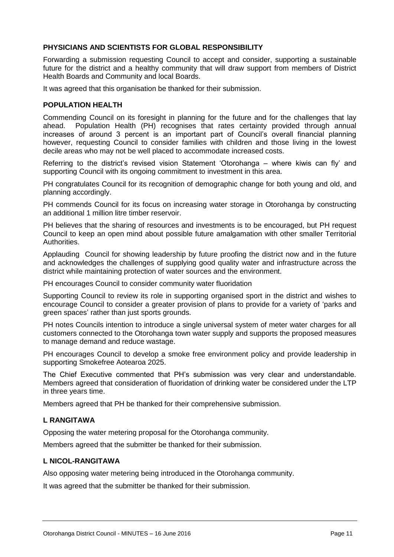#### **PHYSICIANS AND SCIENTISTS FOR GLOBAL RESPONSIBILITY**

Forwarding a submission requesting Council to accept and consider, supporting a sustainable future for the district and a healthy community that will draw support from members of District Health Boards and Community and local Boards.

It was agreed that this organisation be thanked for their submission.

#### **POPULATION HEALTH**

Commending Council on its foresight in planning for the future and for the challenges that lay ahead. Population Health (PH) recognises that rates certainty provided through annual increases of around 3 percent is an important part of Council's overall financial planning however, requesting Council to consider families with children and those living in the lowest decile areas who may not be well placed to accommodate increased costs.

Referring to the district's revised vision Statement 'Otorohanga – where kiwis can fly' and supporting Council with its ongoing commitment to investment in this area.

PH congratulates Council for its recognition of demographic change for both young and old, and planning accordingly.

PH commends Council for its focus on increasing water storage in Otorohanga by constructing an additional 1 million litre timber reservoir.

PH believes that the sharing of resources and investments is to be encouraged, but PH request Council to keep an open mind about possible future amalgamation with other smaller Territorial Authorities.

Applauding Council for showing leadership by future proofing the district now and in the future and acknowledges the challenges of supplying good quality water and infrastructure across the district while maintaining protection of water sources and the environment.

PH encourages Council to consider community water fluoridation

Supporting Council to review its role in supporting organised sport in the district and wishes to encourage Council to consider a greater provision of plans to provide for a variety of 'parks and green spaces' rather than just sports grounds.

PH notes Councils intention to introduce a single universal system of meter water charges for all customers connected to the Otorohanga town water supply and supports the proposed measures to manage demand and reduce wastage.

PH encourages Council to develop a smoke free environment policy and provide leadership in supporting Smokefree Aotearoa 2025.

The Chief Executive commented that PH's submission was very clear and understandable. Members agreed that consideration of fluoridation of drinking water be considered under the LTP in three years time.

Members agreed that PH be thanked for their comprehensive submission.

#### **L RANGITAWA**

Opposing the water metering proposal for the Otorohanga community.

Members agreed that the submitter be thanked for their submission.

#### **L NICOL-RANGITAWA**

Also opposing water metering being introduced in the Otorohanga community.

It was agreed that the submitter be thanked for their submission.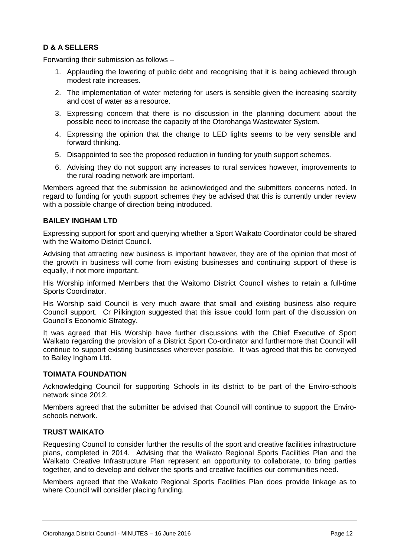#### **D & A SELLERS**

Forwarding their submission as follows –

- 1. Applauding the lowering of public debt and recognising that it is being achieved through modest rate increases.
- 2. The implementation of water metering for users is sensible given the increasing scarcity and cost of water as a resource.
- 3. Expressing concern that there is no discussion in the planning document about the possible need to increase the capacity of the Otorohanga Wastewater System.
- 4. Expressing the opinion that the change to LED lights seems to be very sensible and forward thinking.
- 5. Disappointed to see the proposed reduction in funding for youth support schemes.
- 6. Advising they do not support any increases to rural services however, improvements to the rural roading network are important.

Members agreed that the submission be acknowledged and the submitters concerns noted. In regard to funding for youth support schemes they be advised that this is currently under review with a possible change of direction being introduced.

#### **BAILEY INGHAM LTD**

Expressing support for sport and querying whether a Sport Waikato Coordinator could be shared with the Waitomo District Council.

Advising that attracting new business is important however, they are of the opinion that most of the growth in business will come from existing businesses and continuing support of these is equally, if not more important.

His Worship informed Members that the Waitomo District Council wishes to retain a full-time Sports Coordinator.

His Worship said Council is very much aware that small and existing business also require Council support. Cr Pilkington suggested that this issue could form part of the discussion on Council's Economic Strategy.

It was agreed that His Worship have further discussions with the Chief Executive of Sport Waikato regarding the provision of a District Sport Co-ordinator and furthermore that Council will continue to support existing businesses wherever possible. It was agreed that this be conveyed to Bailey Ingham Ltd.

#### **TOIMATA FOUNDATION**

Acknowledging Council for supporting Schools in its district to be part of the Enviro-schools network since 2012.

Members agreed that the submitter be advised that Council will continue to support the Enviroschools network.

#### **TRUST WAIKATO**

Requesting Council to consider further the results of the sport and creative facilities infrastructure plans, completed in 2014. Advising that the Waikato Regional Sports Facilities Plan and the Waikato Creative Infrastructure Plan represent an opportunity to collaborate, to bring parties together, and to develop and deliver the sports and creative facilities our communities need.

Members agreed that the Waikato Regional Sports Facilities Plan does provide linkage as to where Council will consider placing funding.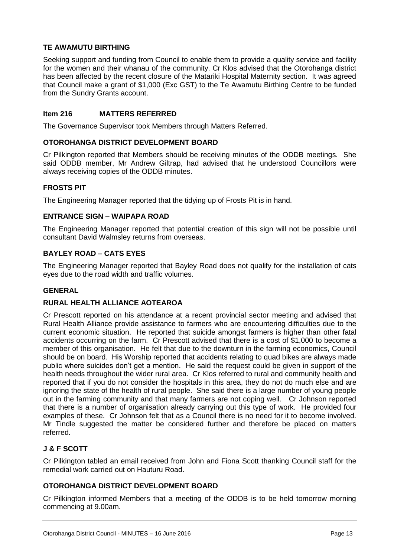#### **TE AWAMUTU BIRTHING**

Seeking support and funding from Council to enable them to provide a quality service and facility for the women and their whanau of the community. Cr Klos advised that the Otorohanga district has been affected by the recent closure of the Matariki Hospital Maternity section. It was agreed that Council make a grant of \$1,000 (Exc GST) to the Te Awamutu Birthing Centre to be funded from the Sundry Grants account.

#### **Item 216 MATTERS REFERRED**

The Governance Supervisor took Members through Matters Referred.

#### **OTOROHANGA DISTRICT DEVELOPMENT BOARD**

Cr Pilkington reported that Members should be receiving minutes of the ODDB meetings. She said ODDB member, Mr Andrew Giltrap, had advised that he understood Councillors were always receiving copies of the ODDB minutes.

#### **FROSTS PIT**

The Engineering Manager reported that the tidying up of Frosts Pit is in hand.

#### **ENTRANCE SIGN – WAIPAPA ROAD**

The Engineering Manager reported that potential creation of this sign will not be possible until consultant David Walmsley returns from overseas.

#### **BAYLEY ROAD – CATS EYES**

The Engineering Manager reported that Bayley Road does not qualify for the installation of cats eyes due to the road width and traffic volumes.

#### **GENERAL**

#### **RURAL HEALTH ALLIANCE AOTEAROA**

Cr Prescott reported on his attendance at a recent provincial sector meeting and advised that Rural Health Alliance provide assistance to farmers who are encountering difficulties due to the current economic situation. He reported that suicide amongst farmers is higher than other fatal accidents occurring on the farm. Cr Prescott advised that there is a cost of \$1,000 to become a member of this organisation. He felt that due to the downturn in the farming economics, Council should be on board. His Worship reported that accidents relating to quad bikes are always made public where suicides don't get a mention. He said the request could be given in support of the health needs throughout the wider rural area. Cr Klos referred to rural and community health and reported that if you do not consider the hospitals in this area, they do not do much else and are ignoring the state of the health of rural people. She said there is a large number of young people out in the farming community and that many farmers are not coping well. Cr Johnson reported that there is a number of organisation already carrying out this type of work. He provided four examples of these. Cr Johnson felt that as a Council there is no need for it to become involved. Mr Tindle suggested the matter be considered further and therefore be placed on matters referred.

#### **J & F SCOTT**

Cr Pilkington tabled an email received from John and Fiona Scott thanking Council staff for the remedial work carried out on Hauturu Road.

#### **OTOROHANGA DISTRICT DEVELOPMENT BOARD**

Cr Pilkington informed Members that a meeting of the ODDB is to be held tomorrow morning commencing at 9.00am.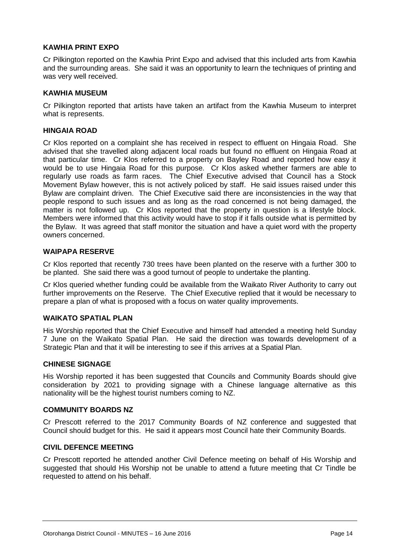#### **KAWHIA PRINT EXPO**

Cr Pilkington reported on the Kawhia Print Expo and advised that this included arts from Kawhia and the surrounding areas. She said it was an opportunity to learn the techniques of printing and was very well received.

#### **KAWHIA MUSEUM**

Cr Pilkington reported that artists have taken an artifact from the Kawhia Museum to interpret what is represents.

#### **HINGAIA ROAD**

Cr Klos reported on a complaint she has received in respect to effluent on Hingaia Road. She advised that she travelled along adjacent local roads but found no effluent on Hingaia Road at that particular time. Cr Klos referred to a property on Bayley Road and reported how easy it would be to use Hingaia Road for this purpose. Cr Klos asked whether farmers are able to regularly use roads as farm races. The Chief Executive advised that Council has a Stock Movement Bylaw however, this is not actively policed by staff. He said issues raised under this Bylaw are complaint driven. The Chief Executive said there are inconsistencies in the way that people respond to such issues and as long as the road concerned is not being damaged, the matter is not followed up. Cr Klos reported that the property in question is a lifestyle block. Members were informed that this activity would have to stop if it falls outside what is permitted by the Bylaw. It was agreed that staff monitor the situation and have a quiet word with the property owners concerned.

#### **WAIPAPA RESERVE**

Cr Klos reported that recently 730 trees have been planted on the reserve with a further 300 to be planted. She said there was a good turnout of people to undertake the planting.

Cr Klos queried whether funding could be available from the Waikato River Authority to carry out further improvements on the Reserve. The Chief Executive replied that it would be necessary to prepare a plan of what is proposed with a focus on water quality improvements.

#### **WAIKATO SPATIAL PLAN**

His Worship reported that the Chief Executive and himself had attended a meeting held Sunday 7 June on the Waikato Spatial Plan. He said the direction was towards development of a Strategic Plan and that it will be interesting to see if this arrives at a Spatial Plan.

#### **CHINESE SIGNAGE**

His Worship reported it has been suggested that Councils and Community Boards should give consideration by 2021 to providing signage with a Chinese language alternative as this nationality will be the highest tourist numbers coming to NZ.

#### **COMMUNITY BOARDS NZ**

Cr Prescott referred to the 2017 Community Boards of NZ conference and suggested that Council should budget for this. He said it appears most Council hate their Community Boards.

#### **CIVIL DEFENCE MEETING**

Cr Prescott reported he attended another Civil Defence meeting on behalf of His Worship and suggested that should His Worship not be unable to attend a future meeting that Cr Tindle be requested to attend on his behalf.